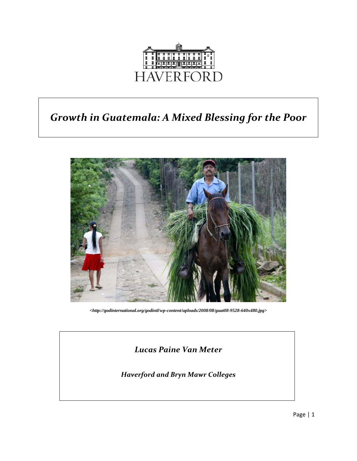

# *Growth in Guatemala: A Mixed Blessing for the Poor*



*<http://godinternational.org/godintl/wp-content/uploads/2008/08/guat08-9528-640x480.jpg>* 

# *Lucas Paine Van Meter*

*Haverford and Bryn Mawr Colleges*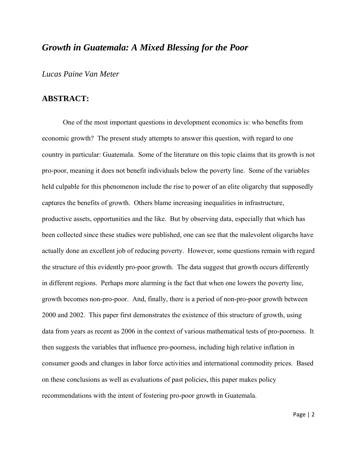# *Growth in Guatemala: A Mixed Blessing for the Poor*

*Lucas Paine Van Meter*

# **ABSTRACT:**

One of the most important questions in development economics is: who benefits from economic growth? The present study attempts to answer this question, with regard to one country in particular: Guatemala. Some of the literature on this topic claims that its growth is not pro-poor, meaning it does not benefit individuals below the poverty line. Some of the variables held culpable for this phenomenon include the rise to power of an elite oligarchy that supposedly captures the benefits of growth. Others blame increasing inequalities in infrastructure, productive assets, opportunities and the like. But by observing data, especially that which has been collected since these studies were published, one can see that the malevolent oligarchs have actually done an excellent job of reducing poverty. However, some questions remain with regard the structure of this evidently pro-poor growth. The data suggest that growth occurs differently in different regions. Perhaps more alarming is the fact that when one lowers the poverty line, growth becomes non-pro-poor. And, finally, there is a period of non-pro-poor growth between 2000 and 2002. This paper first demonstrates the existence of this structure of growth, using data from years as recent as 2006 in the context of various mathematical tests of pro-poorness. It then suggests the variables that influence pro-poorness, including high relative inflation in consumer goods and changes in labor force activities and international commodity prices. Based on these conclusions as well as evaluations of past policies, this paper makes policy recommendations with the intent of fostering pro-poor growth in Guatemala.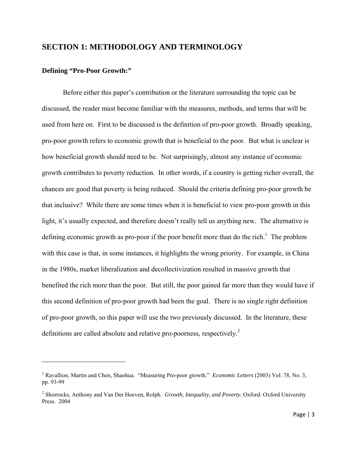# **SECTION 1: METHODOLOGY AND TERMINOLOGY**

# **Defining "Pro-Poor Growth:"**

 Before either this paper's contribution or the literature surrounding the topic can be discussed, the reader must become familiar with the measures, methods, and terms that will be used from here on. First to be discussed is the definition of pro-poor growth. Broadly speaking, pro-poor growth refers to economic growth that is beneficial to the poor. But what is unclear is how beneficial growth should need to be. Not surprisingly, almost any instance of economic growth contributes to poverty reduction. In other words, if a country is getting richer overall, the chances are good that poverty is being reduced. Should the criteria defining pro-poor growth be that inclusive? While there are some times when it is beneficial to view pro-poor growth in this light, it's usually expected, and therefore doesn't really tell us anything new. The alternative is defining economic growth as pro-poor if the poor benefit more than do the rich.<sup>1</sup> The problem with this case is that, in some instances, it highlights the wrong priority. For example, in China in the 1980s, market liberalization and decollectivization resulted in massive growth that benefited the rich more than the poor. But still, the poor gained far more than they would have if this second definition of pro-poor growth had been the goal. There is no single right definition of pro-poor growth, so this paper will use the two previously discussed. In the literature, these definitions are called absolute and relative pro-poorness, respectively.<sup>2</sup>

<sup>&</sup>lt;sup>1</sup> Ravallion, Martin and Chen, Shaohua. "Measuring Pro-poor growth." *Economic Letters* (2003) Vol. 78, No. 3, pp. 93-99

<sup>2</sup> Shorrocks, Anthony and Van Der Hoeven, Rolph*. Growth, Inequality, and Poverty.* Oxford: Oxford University Press. 2004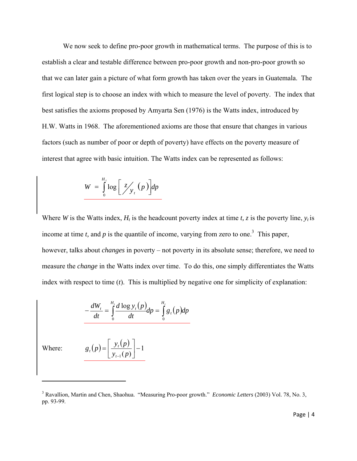We now seek to define pro-poor growth in mathematical terms. The purpose of this is to establish a clear and testable difference between pro-poor growth and non-pro-poor growth so that we can later gain a picture of what form growth has taken over the years in Guatemala. The first logical step is to choose an index with which to measure the level of poverty. The index that best satisfies the axioms proposed by Amyarta Sen (1976) is the Watts index, introduced by H.W. Watts in 1968. The aforementioned axioms are those that ensure that changes in various factors (such as number of poor or depth of poverty) have effects on the poverty measure of interest that agree with basic intuition. The Watts index can be represented as follows:

$$
W = \int_{0}^{H_{t}} \log \left[ \frac{z}{y_{t}} \left( p \right) \right] dp
$$

Where *W* is the Watts index,  $H_t$  is the headcount poverty index at time *t*, *z* is the poverty line,  $y_t$  is income at time *t*, and  $p$  is the quantile of income, varying from zero to one.<sup>3</sup> This paper, however, talks about *changes* in poverty – not poverty in its absolute sense; therefore, we need to measure the *change* in the Watts index over time. To do this, one simply differentiates the Watts index with respect to time (*t*). This is multiplied by negative one for simplicity of explanation:

$$
-\frac{dW_t}{dt} = \int_0^{H_t} \frac{d\log y_t(p)}{dt} dp = \int_0^{H_t} g_t(p) dp
$$

Where:

$$
g_{t}(p) = \left[\frac{y_{t}(p)}{y_{t-1}(p)}\right] - 1
$$

<sup>&</sup>lt;sup>3</sup> Ravallion, Martin and Chen, Shaohua. "Measuring Pro-poor growth." *Economic Letters* (2003) Vol. 78, No. 3, pp. 93-99.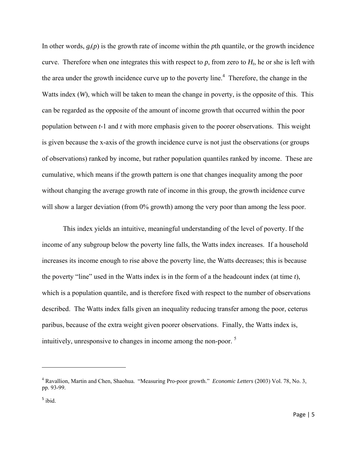In other words,  $g_t(p)$  is the growth rate of income within the *p*th quantile, or the growth incidence curve. Therefore when one integrates this with respect to  $p$ , from zero to  $H<sub>t</sub>$ , he or she is left with the area under the growth incidence curve up to the poverty line.<sup>4</sup> Therefore, the change in the Watts index (*W*), which will be taken to mean the change in poverty, is the opposite of this. This can be regarded as the opposite of the amount of income growth that occurred within the poor population between *t*-1 and *t* with more emphasis given to the poorer observations. This weight is given because the x-axis of the growth incidence curve is not just the observations (or groups of observations) ranked by income, but rather population quantiles ranked by income. These are cumulative, which means if the growth pattern is one that changes inequality among the poor without changing the average growth rate of income in this group, the growth incidence curve will show a larger deviation (from 0% growth) among the very poor than among the less poor.

This index yields an intuitive, meaningful understanding of the level of poverty. If the income of any subgroup below the poverty line falls, the Watts index increases. If a household increases its income enough to rise above the poverty line, the Watts decreases; this is because the poverty "line" used in the Watts index is in the form of a the headcount index (at time *t*), which is a population quantile, and is therefore fixed with respect to the number of observations described. The Watts index falls given an inequality reducing transfer among the poor, ceterus paribus, because of the extra weight given poorer observations. Finally, the Watts index is, intuitively, unresponsive to changes in income among the non-poor. 5

<sup>4</sup> Ravallion, Martin and Chen, Shaohua. "Measuring Pro-poor growth." *Economic Letters* (2003) Vol. 78, No. 3, pp. 93-99.

 $<sup>5</sup>$  ibid.</sup>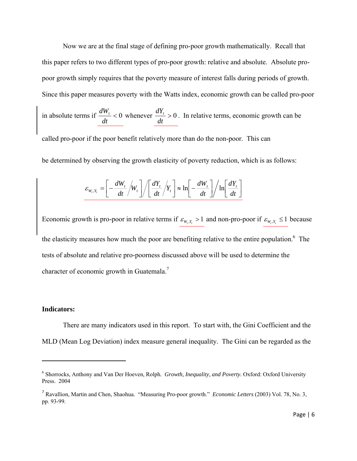Now we are at the final stage of defining pro-poor growth mathematically. Recall that this paper refers to two different types of pro-poor growth: relative and absolute. Absolute propoor growth simply requires that the poverty measure of interest falls during periods of growth. Since this paper measures poverty with the Watts index, economic growth can be called pro-poor

in absolute terms if  $\frac{dW_t}{dt} < 0$ *dt*  $\frac{dW_t}{dt}$  < 0 whenever  $\frac{dY_t}{dt}$  > 0 *dt*  $\frac{dY_t}{dt} > 0$ . In relative terms, economic growth can be

called pro-poor if the poor benefit relatively more than do the non-poor. This can

be determined by observing the growth elasticity of poverty reduction, which is as follows:

$$
\varepsilon_{W_t, Y_t} = \left[ -\frac{dW_t}{dt} / W_t \right] / \left[ \frac{dY_t}{dt} / Y_t \right] \approx \ln \left[ -\frac{dW_t}{dt} \right] / \ln \left[ \frac{dY_t}{dt} \right]
$$

Economic growth is pro-poor in relative terms if  $\varepsilon_{w_r, x_r} > 1$  and non-pro-poor if  $\varepsilon_{w_r, x_r} \le 1$  because the elasticity measures how much the poor are benefiting relative to the entire population.<sup>6</sup> The tests of absolute and relative pro-poorness discussed above will be used to determine the character of economic growth in Guatemala.<sup>7</sup>

#### **Indicators:**

There are many indicators used in this report. To start with, the Gini Coefficient and the MLD (Mean Log Deviation) index measure general inequality. The Gini can be regarded as the

<sup>&</sup>lt;sup>6</sup> Shorrocks, Anthony and Van Der Hoeven, Rolph. *Growth, Inequality, and Poverty*. Oxford: Oxford University Press. 2004

<sup>7</sup> Ravallion, Martin and Chen, Shaohua. "Measuring Pro-poor growth." *Economic Letters* (2003) Vol. 78, No. 3, pp. 93-99.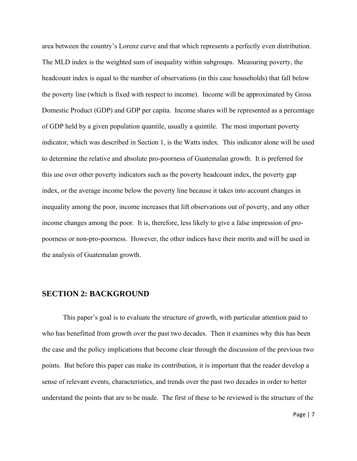area between the country's Lorenz curve and that which represents a perfectly even distribution. The MLD index is the weighted sum of inequality within subgroups. Measuring poverty, the headcount index is equal to the number of observations (in this case households) that fall below the poverty line (which is fixed with respect to income). Income will be approximated by Gross Domestic Product (GDP) and GDP per capita. Income shares will be represented as a percentage of GDP held by a given population quantile, usually a quintile. The most important poverty indicator, which was described in Section 1, is the Watts index. This indicator alone will be used to determine the relative and absolute pro-poorness of Guatemalan growth. It is preferred for this use over other poverty indicators such as the poverty headcount index, the poverty gap index, or the average income below the poverty line because it takes into account changes in inequality among the poor, income increases that lift observations out of poverty, and any other income changes among the poor. It is, therefore, less likely to give a false impression of propoorness or non-pro-poorness. However, the other indices have their merits and will be used in the analysis of Guatemalan growth.

## **SECTION 2: BACKGROUND**

 This paper's goal is to evaluate the structure of growth, with particular attention paid to who has benefitted from growth over the past two decades. Then it examines why this has been the case and the policy implications that become clear through the discussion of the previous two points. But before this paper can make its contribution, it is important that the reader develop a sense of relevant events, characteristics, and trends over the past two decades in order to better understand the points that are to be made. The first of these to be reviewed is the structure of the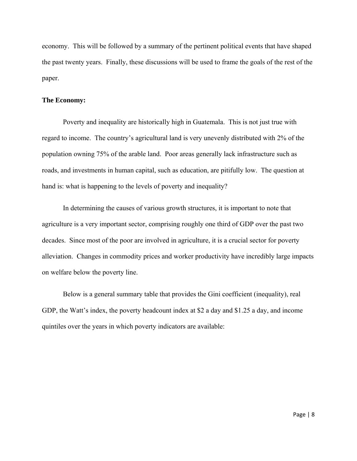economy. This will be followed by a summary of the pertinent political events that have shaped the past twenty years. Finally, these discussions will be used to frame the goals of the rest of the paper.

#### **The Economy:**

Poverty and inequality are historically high in Guatemala. This is not just true with regard to income. The country's agricultural land is very unevenly distributed with 2% of the population owning 75% of the arable land. Poor areas generally lack infrastructure such as roads, and investments in human capital, such as education, are pitifully low. The question at hand is: what is happening to the levels of poverty and inequality?

 In determining the causes of various growth structures, it is important to note that agriculture is a very important sector, comprising roughly one third of GDP over the past two decades. Since most of the poor are involved in agriculture, it is a crucial sector for poverty alleviation. Changes in commodity prices and worker productivity have incredibly large impacts on welfare below the poverty line.

 Below is a general summary table that provides the Gini coefficient (inequality), real GDP, the Watt's index, the poverty headcount index at \$2 a day and \$1.25 a day, and income quintiles over the years in which poverty indicators are available: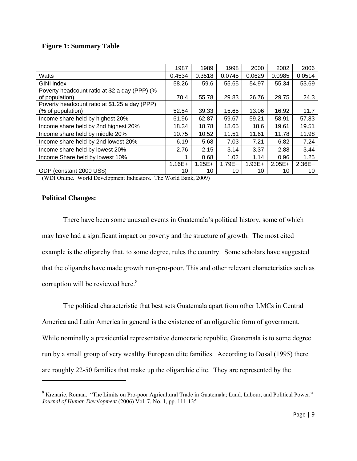## **Figure 1: Summary Table**

|                                               | 1987      | 1989      | 1998      | 2000     | 2002     | 2006     |
|-----------------------------------------------|-----------|-----------|-----------|----------|----------|----------|
| Watts                                         | 0.4534    | 0.3518    | 0.0745    | 0.0629   | 0.0985   | 0.0514   |
| GINI index                                    | 58.26     | 59.6      | 55.65     | 54.97    | 55.34    | 53.69    |
| Poverty headcount ratio at \$2 a day (PPP) (% |           |           |           |          |          |          |
| of population)                                | 70.4      | 55.78     | 29.83     | 26.76    | 29.75    | 24.3     |
| Poverty headcount ratio at \$1.25 a day (PPP) |           |           |           |          |          |          |
| (% of population)                             | 52.54     | 39.33     | 15.65     | 13.06    | 16.92    | 11.7     |
| Income share held by highest 20%              | 61.96     | 62.87     | 59.67     | 59.21    | 58.91    | 57.83    |
| Income share held by 2nd highest 20%          | 18.34     | 18.78     | 18.65     | 18.6     | 19.61    | 19.51    |
| Income share held by middle 20%               | 10.75     | 10.52     | 11.51     | 11.61    | 11.78    | 11.98    |
| Income share held by 2nd lowest 20%           | 6.19      | 5.68      | 7.03      | 7.21     | 6.82     | 7.24     |
| Income share held by lowest 20%               | 2.76      | 2.15      | 3.14      | 3.37     | 2.88     | 3.44     |
| Income Share held by lowest 10%               |           | 0.68      | 1.02      | 1.14     | 0.96     | 1.25     |
|                                               | $1.16E +$ | $1.25E +$ | $1.79E +$ | $1.93E+$ | $2.05E+$ | $2.36E+$ |
| GDP (constant 2000 US\$)                      | 10        | 10        | 10        | 10       | 10       | 10       |

(WDI Online. World Development Indicators. The World Bank, 2009)

### **Political Changes:**

 There have been some unusual events in Guatemala's political history, some of which may have had a significant impact on poverty and the structure of growth. The most cited example is the oligarchy that, to some degree, rules the country. Some scholars have suggested that the oligarchs have made growth non-pro-poor. This and other relevant characteristics such as corruption will be reviewed here.<sup>8</sup>

 The political characteristic that best sets Guatemala apart from other LMCs in Central America and Latin America in general is the existence of an oligarchic form of government. While nominally a presidential representative democratic republic, Guatemala is to some degree run by a small group of very wealthy European elite families. According to Dosal (1995) there are roughly 22-50 families that make up the oligarchic elite. They are represented by the

<sup>8</sup> Krznaric, Roman. "The Limits on Pro-poor Agricultural Trade in Guatemala; Land, Labour, and Political Power." *Journal of Human Development* (2006) Vol. 7, No. 1, pp. 111-135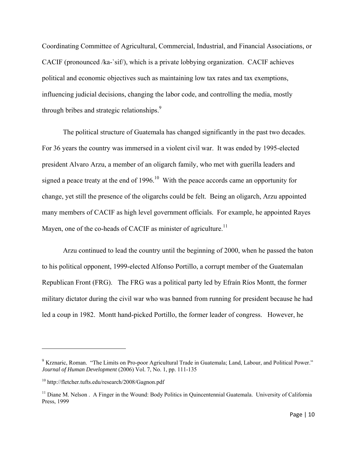Coordinating Committee of Agricultural, Commercial, Industrial, and Financial Associations, or CACIF (pronounced /ka-`sif/), which is a private lobbying organization. CACIF achieves political and economic objectives such as maintaining low tax rates and tax exemptions, influencing judicial decisions, changing the labor code, and controlling the media, mostly through bribes and strategic relationships.<sup>9</sup>

The political structure of Guatemala has changed significantly in the past two decades. For 36 years the country was immersed in a violent civil war. It was ended by 1995-elected president Alvaro Arzu, a member of an oligarch family, who met with guerilla leaders and signed a peace treaty at the end of 1996.<sup>10</sup> With the peace accords came an opportunity for change, yet still the presence of the oligarchs could be felt. Being an oligarch, Arzu appointed many members of CACIF as high level government officials. For example, he appointed Rayes Mayen, one of the co-heads of CACIF as minister of agriculture.<sup>11</sup>

Arzu continued to lead the country until the beginning of 2000, when he passed the baton to his political opponent, 1999-elected Alfonso Portillo, a corrupt member of the Guatemalan Republican Front (FRG). The FRG was a political party led by Efraín Ríos Montt, the former military dictator during the civil war who was banned from running for president because he had led a coup in 1982. Montt hand-picked Portillo, the former leader of congress. However, he

<sup>&</sup>lt;sup>9</sup> Krznaric, Roman. "The Limits on Pro-poor Agricultural Trade in Guatemala; Land, Labour, and Political Power." *Journal of Human Development* (2006) Vol. 7, No. 1, pp. 111-135

<sup>10</sup> http://fletcher.tufts.edu/research/2008/Gagnon.pdf

<sup>&</sup>lt;sup>11</sup> Diane M. Nelson . A Finger in the Wound: Body Politics in Quincentennial Guatemala. University of California Press, 1999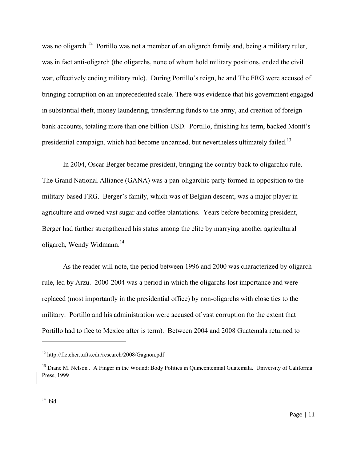was no oligarch.<sup>12</sup> Portillo was not a member of an oligarch family and, being a military ruler, was in fact anti-oligarch (the oligarchs, none of whom hold military positions, ended the civil war, effectively ending military rule). During Portillo's reign, he and The FRG were accused of bringing corruption on an unprecedented scale. There was evidence that his government engaged in substantial theft, money laundering, transferring funds to the army, and creation of foreign bank accounts, totaling more than one billion USD. Portillo, finishing his term, backed Montt's presidential campaign, which had become unbanned, but nevertheless ultimately failed.<sup>13</sup>

In 2004, Oscar Berger became president, bringing the country back to oligarchic rule. The Grand National Alliance (GANA) was a pan-oligarchic party formed in opposition to the military-based FRG. Berger's family, which was of Belgian descent, was a major player in agriculture and owned vast sugar and coffee plantations. Years before becoming president, Berger had further strengthened his status among the elite by marrying another agricultural oligarch, Wendy Widmann.<sup>14</sup>

As the reader will note, the period between 1996 and 2000 was characterized by oligarch rule, led by Arzu. 2000-2004 was a period in which the oligarchs lost importance and were replaced (most importantly in the presidential office) by non-oligarchs with close ties to the military. Portillo and his administration were accused of vast corruption (to the extent that Portillo had to flee to Mexico after is term). Between 2004 and 2008 Guatemala returned to

<sup>12</sup> http://fletcher.tufts.edu/research/2008/Gagnon.pdf

<sup>&</sup>lt;sup>13</sup> Diane M. Nelson . A Finger in the Wound: Body Politics in Quincentennial Guatemala. University of California Press, 1999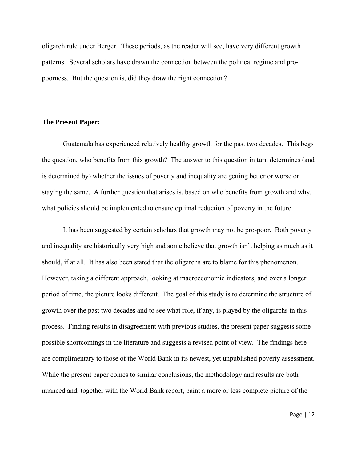oligarch rule under Berger. These periods, as the reader will see, have very different growth patterns. Several scholars have drawn the connection between the political regime and propoorness. But the question is, did they draw the right connection?

#### **The Present Paper:**

 Guatemala has experienced relatively healthy growth for the past two decades. This begs the question, who benefits from this growth? The answer to this question in turn determines (and is determined by) whether the issues of poverty and inequality are getting better or worse or staying the same. A further question that arises is, based on who benefits from growth and why, what policies should be implemented to ensure optimal reduction of poverty in the future.

 It has been suggested by certain scholars that growth may not be pro-poor. Both poverty and inequality are historically very high and some believe that growth isn't helping as much as it should, if at all. It has also been stated that the oligarchs are to blame for this phenomenon. However, taking a different approach, looking at macroeconomic indicators, and over a longer period of time, the picture looks different. The goal of this study is to determine the structure of growth over the past two decades and to see what role, if any, is played by the oligarchs in this process. Finding results in disagreement with previous studies, the present paper suggests some possible shortcomings in the literature and suggests a revised point of view. The findings here are complimentary to those of the World Bank in its newest, yet unpublished poverty assessment. While the present paper comes to similar conclusions, the methodology and results are both nuanced and, together with the World Bank report, paint a more or less complete picture of the

Page | 12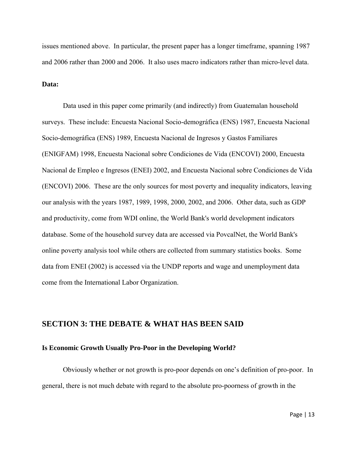issues mentioned above. In particular, the present paper has a longer timeframe, spanning 1987 and 2006 rather than 2000 and 2006. It also uses macro indicators rather than micro-level data.

## **Data:**

 Data used in this paper come primarily (and indirectly) from Guatemalan household surveys. These include: Encuesta Nacional Socio-demográfica (ENS) 1987, Encuesta Nacional Socio-demográfica (ENS) 1989, Encuesta Nacional de Ingresos y Gastos Familiares (ENIGFAM) 1998, Encuesta Nacional sobre Condiciones de Vida (ENCOVI) 2000, Encuesta Nacional de Empleo e Ingresos (ENEI) 2002, and Encuesta Nacional sobre Condiciones de Vida (ENCOVI) 2006. These are the only sources for most poverty and inequality indicators, leaving our analysis with the years 1987, 1989, 1998, 2000, 2002, and 2006. Other data, such as GDP and productivity, come from WDI online, the World Bank's world development indicators database. Some of the household survey data are accessed via PovcalNet, the World Bank's online poverty analysis tool while others are collected from summary statistics books. Some data from ENEI (2002) is accessed via the UNDP reports and wage and unemployment data come from the International Labor Organization.

# **SECTION 3: THE DEBATE & WHAT HAS BEEN SAID**

#### **Is Economic Growth Usually Pro-Poor in the Developing World?**

 Obviously whether or not growth is pro-poor depends on one's definition of pro-poor. In general, there is not much debate with regard to the absolute pro-poorness of growth in the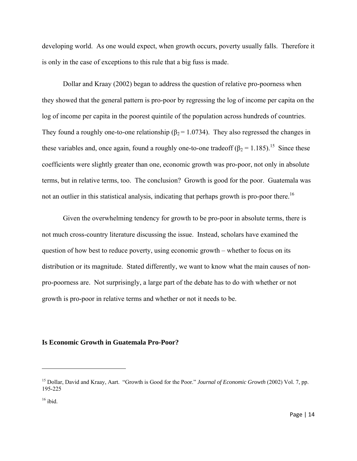developing world. As one would expect, when growth occurs, poverty usually falls. Therefore it is only in the case of exceptions to this rule that a big fuss is made.

 Dollar and Kraay (2002) began to address the question of relative pro-poorness when they showed that the general pattern is pro-poor by regressing the log of income per capita on the log of income per capita in the poorest quintile of the population across hundreds of countries. They found a roughly one-to-one relationship ( $\beta_2$  = 1.0734). They also regressed the changes in these variables and, once again, found a roughly one-to-one tradeoff  $(\beta_2 = 1.185)$ .<sup>15</sup> Since these coefficients were slightly greater than one, economic growth was pro-poor, not only in absolute terms, but in relative terms, too. The conclusion? Growth is good for the poor. Guatemala was not an outlier in this statistical analysis, indicating that perhaps growth is pro-poor there.<sup>16</sup>

 Given the overwhelming tendency for growth to be pro-poor in absolute terms, there is not much cross-country literature discussing the issue. Instead, scholars have examined the question of how best to reduce poverty, using economic growth – whether to focus on its distribution or its magnitude. Stated differently, we want to know what the main causes of nonpro-poorness are. Not surprisingly, a large part of the debate has to do with whether or not growth is pro-poor in relative terms and whether or not it needs to be.

### **Is Economic Growth in Guatemala Pro-Poor?**

<sup>15</sup> Dollar, David and Kraay, Aart. "Growth is Good for the Poor." *Journal of Economic Growth* (2002) Vol. 7, pp. 195-225

 $16$  ibid.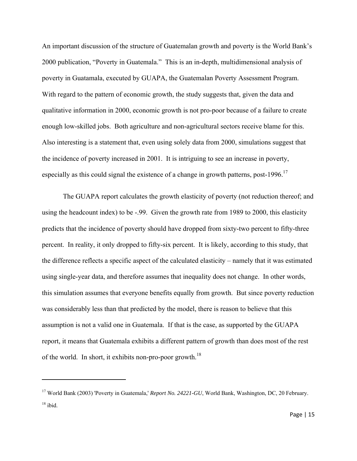An important discussion of the structure of Guatemalan growth and poverty is the World Bank's 2000 publication, "Poverty in Guatemala." This is an in-depth, multidimensional analysis of poverty in Guatamala, executed by GUAPA, the Guatemalan Poverty Assessment Program. With regard to the pattern of economic growth, the study suggests that, given the data and qualitative information in 2000, economic growth is not pro-poor because of a failure to create enough low-skilled jobs. Both agriculture and non-agricultural sectors receive blame for this. Also interesting is a statement that, even using solely data from 2000, simulations suggest that the incidence of poverty increased in 2001. It is intriguing to see an increase in poverty, especially as this could signal the existence of a change in growth patterns, post-1996.<sup>17</sup>

The GUAPA report calculates the growth elasticity of poverty (not reduction thereof; and using the headcount index) to be -.99. Given the growth rate from 1989 to 2000, this elasticity predicts that the incidence of poverty should have dropped from sixty-two percent to fifty-three percent. In reality, it only dropped to fifty-six percent. It is likely, according to this study, that the difference reflects a specific aspect of the calculated elasticity – namely that it was estimated using single-year data, and therefore assumes that inequality does not change. In other words, this simulation assumes that everyone benefits equally from growth. But since poverty reduction was considerably less than that predicted by the model, there is reason to believe that this assumption is not a valid one in Guatemala. If that is the case, as supported by the GUAPA report, it means that Guatemala exhibits a different pattern of growth than does most of the rest of the world. In short, it exhibits non-pro-poor growth.<sup>18</sup>

<sup>&</sup>lt;sup>17</sup> World Bank (2003) 'Poverty in Guatemala,' *Report No. 24221-GU*, World Bank, Washington, DC, 20 February.  $18$  ibid.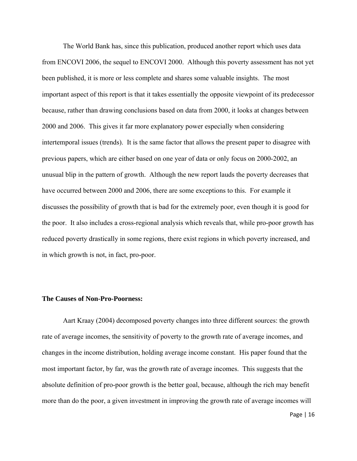The World Bank has, since this publication, produced another report which uses data from ENCOVI 2006, the sequel to ENCOVI 2000. Although this poverty assessment has not yet been published, it is more or less complete and shares some valuable insights. The most important aspect of this report is that it takes essentially the opposite viewpoint of its predecessor because, rather than drawing conclusions based on data from 2000, it looks at changes between 2000 and 2006. This gives it far more explanatory power especially when considering intertemporal issues (trends). It is the same factor that allows the present paper to disagree with previous papers, which are either based on one year of data or only focus on 2000-2002, an unusual blip in the pattern of growth. Although the new report lauds the poverty decreases that have occurred between 2000 and 2006, there are some exceptions to this. For example it discusses the possibility of growth that is bad for the extremely poor, even though it is good for the poor. It also includes a cross-regional analysis which reveals that, while pro-poor growth has reduced poverty drastically in some regions, there exist regions in which poverty increased, and in which growth is not, in fact, pro-poor.

#### **The Causes of Non-Pro-Poorness:**

 Aart Kraay (2004) decomposed poverty changes into three different sources: the growth rate of average incomes, the sensitivity of poverty to the growth rate of average incomes, and changes in the income distribution, holding average income constant. His paper found that the most important factor, by far, was the growth rate of average incomes. This suggests that the absolute definition of pro-poor growth is the better goal, because, although the rich may benefit more than do the poor, a given investment in improving the growth rate of average incomes will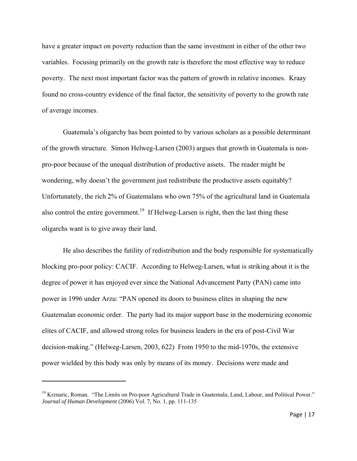have a greater impact on poverty reduction than the same investment in either of the other two variables. Focusing primarily on the growth rate is therefore the most effective way to reduce poverty. The next most important factor was the pattern of growth in relative incomes. Kraay found no cross-country evidence of the final factor, the sensitivity of poverty to the growth rate of average incomes.

Guatemala's oligarchy has been pointed to by various scholars as a possible determinant of the growth structure. Simon Helweg-Larsen (2003) argues that growth in Guatemala is nonpro-poor because of the unequal distribution of productive assets. The reader might be wondering, why doesn't the government just redistribute the productive assets equitably? Unfortunately, the rich 2% of Guatemalans who own 75% of the agricultural land in Guatemala also control the entire government.<sup>19</sup> If Helweg-Larsen is right, then the last thing these oligarchs want is to give away their land.

He also describes the futility of redistribution and the body responsible for systematically blocking pro-poor policy: CACIF. According to Helweg-Larsen, what is striking about it is the degree of power it has enjoyed ever since the National Advancement Party (PAN) came into power in 1996 under Arzu: "PAN opened its doors to business elites in shaping the new Guatemalan economic order. The party had its major support base in the modernizing economic elites of CACIF, and allowed strong roles for business leaders in the era of post-Civil War decision-making." (Helweg-Larsen, 2003, 622) From 1950 to the mid-1970s, the extensive power wielded by this body was only by means of its money. Decisions were made and

<sup>&</sup>lt;sup>19</sup> Krznaric, Roman. "The Limits on Pro-poor Agricultural Trade in Guatemala; Land, Labour, and Political Power." *Journal of Human Development* (2006) Vol. 7, No. 1, pp. 111-135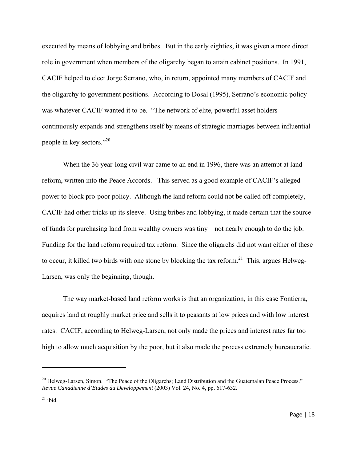executed by means of lobbying and bribes. But in the early eighties, it was given a more direct role in government when members of the oligarchy began to attain cabinet positions. In 1991, CACIF helped to elect Jorge Serrano, who, in return, appointed many members of CACIF and the oligarchy to government positions. According to Dosal (1995), Serrano's economic policy was whatever CACIF wanted it to be. "The network of elite, powerful asset holders continuously expands and strengthens itself by means of strategic marriages between influential people in key sectors."20

When the 36 year-long civil war came to an end in 1996, there was an attempt at land reform, written into the Peace Accords. This served as a good example of CACIF's alleged power to block pro-poor policy. Although the land reform could not be called off completely, CACIF had other tricks up its sleeve. Using bribes and lobbying, it made certain that the source of funds for purchasing land from wealthy owners was tiny – not nearly enough to do the job. Funding for the land reform required tax reform. Since the oligarchs did not want either of these to occur, it killed two birds with one stone by blocking the tax reform.<sup>21</sup> This, argues Helweg-Larsen, was only the beginning, though.

The way market-based land reform works is that an organization, in this case Fontierra, acquires land at roughly market price and sells it to peasants at low prices and with low interest rates. CACIF, according to Helweg-Larsen, not only made the prices and interest rates far too high to allow much acquisition by the poor, but it also made the process extremely bureaucratic.

<sup>&</sup>lt;sup>20</sup> Helweg-Larsen, Simon. "The Peace of the Oligarchs; Land Distribution and the Guatemalan Peace Process." *Revue Canadienne d'Etudes du Developpement* (2003) Vol. 24, No. 4, pp. 617-632.

 $21$  ibid.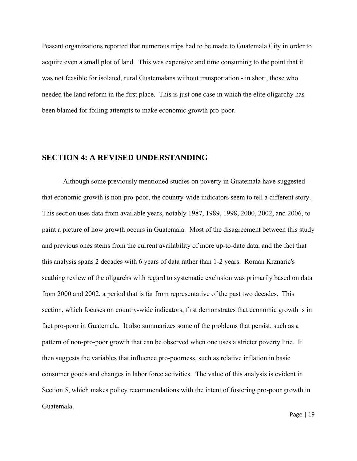Peasant organizations reported that numerous trips had to be made to Guatemala City in order to acquire even a small plot of land. This was expensive and time consuming to the point that it was not feasible for isolated, rural Guatemalans without transportation - in short, those who needed the land reform in the first place. This is just one case in which the elite oligarchy has been blamed for foiling attempts to make economic growth pro-poor.

# **SECTION 4: A REVISED UNDERSTANDING**

Although some previously mentioned studies on poverty in Guatemala have suggested that economic growth is non-pro-poor, the country-wide indicators seem to tell a different story. This section uses data from available years, notably 1987, 1989, 1998, 2000, 2002, and 2006, to paint a picture of how growth occurs in Guatemala. Most of the disagreement between this study and previous ones stems from the current availability of more up-to-date data, and the fact that this analysis spans 2 decades with 6 years of data rather than 1-2 years. Roman Krznaric's scathing review of the oligarchs with regard to systematic exclusion was primarily based on data from 2000 and 2002, a period that is far from representative of the past two decades. This section, which focuses on country-wide indicators, first demonstrates that economic growth is in fact pro-poor in Guatemala. It also summarizes some of the problems that persist, such as a pattern of non-pro-poor growth that can be observed when one uses a stricter poverty line. It then suggests the variables that influence pro-poorness, such as relative inflation in basic consumer goods and changes in labor force activities. The value of this analysis is evident in Section 5, which makes policy recommendations with the intent of fostering pro-poor growth in Guatemala.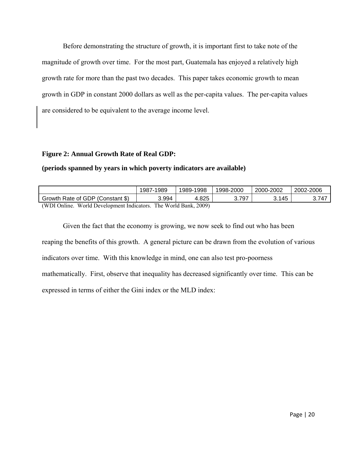Before demonstrating the structure of growth, it is important first to take note of the magnitude of growth over time. For the most part, Guatemala has enjoyed a relatively high growth rate for more than the past two decades. This paper takes economic growth to mean growth in GDP in constant 2000 dollars as well as the per-capita values. The per-capita values are considered to be equivalent to the average income level.

# **Figure 2: Annual Growth Rate of Real GDP:**

# **(periods spanned by years in which poverty indicators are available)**

|                                                                        | 1989<br>$1987 -$ | 1998.<br>1989- | 1998-2000 | 2000-2002 | 2002-2006 |  |
|------------------------------------------------------------------------|------------------|----------------|-----------|-----------|-----------|--|
| Growth Rate of GDP (Constant \$)                                       | ۔ 994، ک         | 1.825          | 3.797     | 145<br>ັ. |           |  |
| (WDI Opline<br>2009)<br>The World Rank<br>World Development Indicators |                  |                |           |           |           |  |

(WDI Online. World Development Indicators. The World Bank, 2009)

 Given the fact that the economy is growing, we now seek to find out who has been reaping the benefits of this growth. A general picture can be drawn from the evolution of various indicators over time. With this knowledge in mind, one can also test pro-poorness mathematically. First, observe that inequality has decreased significantly over time. This can be expressed in terms of either the Gini index or the MLD index: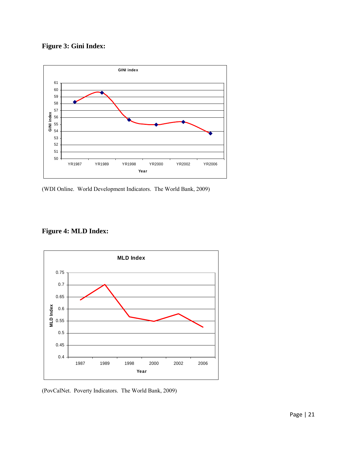**Figure 3: Gini Index:** 



(WDI Online. World Development Indicators. The World Bank, 2009)





(PovCalNet. Poverty Indicators. The World Bank, 2009)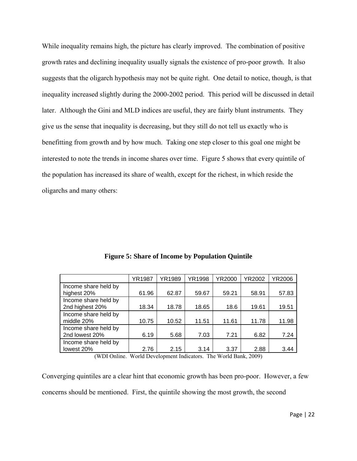While inequality remains high, the picture has clearly improved. The combination of positive growth rates and declining inequality usually signals the existence of pro-poor growth. It also suggests that the oligarch hypothesis may not be quite right. One detail to notice, though, is that inequality increased slightly during the 2000-2002 period. This period will be discussed in detail later. Although the Gini and MLD indices are useful, they are fairly blunt instruments. They give us the sense that inequality is decreasing, but they still do not tell us exactly who is benefitting from growth and by how much. Taking one step closer to this goal one might be interested to note the trends in income shares over time. Figure 5 shows that every quintile of the population has increased its share of wealth, except for the richest, in which reside the oligarchs and many others:

|                      | YR1987   | YR1989 | YR1998 | YR2000                    | YR2002                      | YR2006 |
|----------------------|----------|--------|--------|---------------------------|-----------------------------|--------|
| Income share held by |          |        |        |                           |                             |        |
| highest 20%          | 61.96    | 62.87  | 59.67  | 59.21                     | 58.91                       | 57.83  |
| Income share held by |          |        |        |                           |                             |        |
| 2nd highest 20%      | 18.34    | 18.78  | 18.65  | 18.6                      | 19.61                       | 19.51  |
| Income share held by |          |        |        |                           |                             |        |
| middle 20%           | 10.75    | 10.52  | 11.51  | 11.61                     | 11.78                       | 11.98  |
| Income share held by |          |        |        |                           |                             |        |
| 2nd lowest 20%       | 6.19     | 5.68   | 7.03   | 7.21                      | 6.82                        | 7.24   |
| Income share held by |          |        |        |                           |                             |        |
| lowest 20%           | 2.76     | 2.15   | 3.14   | 3.37                      | 2.88                        | 3.44   |
|                      | $\cdots$ |        | $-1$   | <b>***</b> <i>*</i> * * * | $\sim$ $\sim$ $\sim$ $\sim$ |        |

**Figure 5: Share of Income by Population Quintile** 

(WDI Online. World Development Indicators. The World Bank, 2009)

Converging quintiles are a clear hint that economic growth has been pro-poor. However, a few concerns should be mentioned. First, the quintile showing the most growth, the second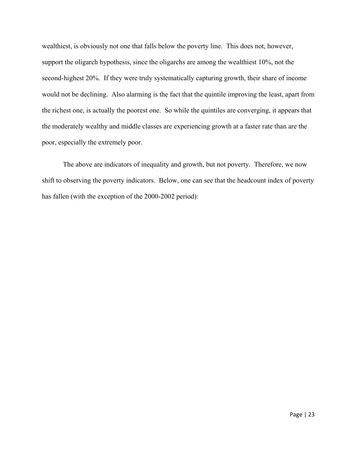wealthiest, is obviously not one that falls below the poverty line. This does not, however, support the oligarch hypothesis, since the oligarchs are among the wealthiest 10%, not the second-highest 20%. If they were truly systematically capturing growth, their share of income would not be declining. Also alarming is the fact that the quintile improving the least, apart from the richest one, is actually the poorest one. So while the quintiles are converging, it appears that the moderately wealthy and middle classes are experiencing growth at a faster rate than are the poor, especially the extremely poor.

The above are indicators of inequality and growth, but not poverty. Therefore, we now shift to observing the poverty indicators. Below, one can see that the headcount index of poverty has fallen (with the exception of the 2000-2002 period):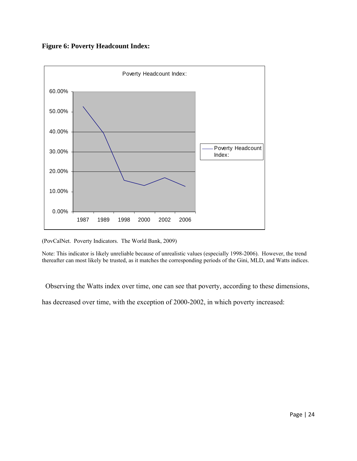# **Figure 6: Poverty Headcount Index:**



(PovCalNet. Poverty Indicators. The World Bank, 2009)

Note: This indicator is likely unreliable because of unrealistic values (especially 1998-2006). However, the trend thereafter can most likely be trusted, as it matches the corresponding periods of the Gini, MLD, and Watts indices.

Observing the Watts index over time, one can see that poverty, according to these dimensions,

has decreased over time, with the exception of 2000-2002, in which poverty increased: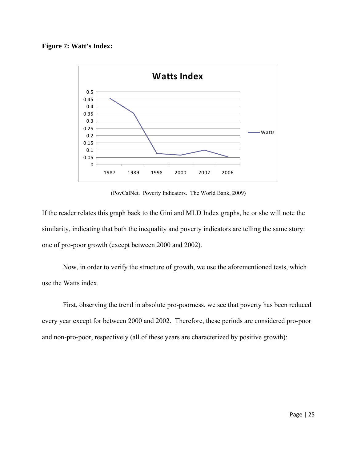## **Figure 7: Watt's Index:**



(PovCalNet. Poverty Indicators. The World Bank, 2009)

If the reader relates this graph back to the Gini and MLD Index graphs, he or she will note the similarity, indicating that both the inequality and poverty indicators are telling the same story: one of pro-poor growth (except between 2000 and 2002).

 Now, in order to verify the structure of growth, we use the aforementioned tests, which use the Watts index.

 First, observing the trend in absolute pro-poorness, we see that poverty has been reduced every year except for between 2000 and 2002. Therefore, these periods are considered pro-poor and non-pro-poor, respectively (all of these years are characterized by positive growth):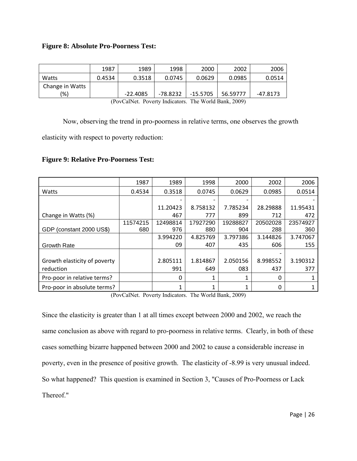# **Figure 8: Absolute Pro-Poorness Test:**

|                 | 1987   | 1989       | 1998     | 2000       | 2002     | 2006       |
|-----------------|--------|------------|----------|------------|----------|------------|
| Watts           | 0.4534 | 0.3518     | 0.0745   | 0.0629     | 0.0985   | 0.0514     |
| Change in Watts |        |            |          |            |          |            |
| (%)             |        | $-22.4085$ | -78.8232 | $-15.5705$ | 56.59777 | $-47.8173$ |

(PovCalNet. Poverty Indicators. The World Bank, 2009)

Now, observing the trend in pro-poorness in relative terms, one observes the growth

elasticity with respect to poverty reduction:

### **Figure 9: Relative Pro-Poorness Test:**

|                              | 1987     | 1989                     | 1998     | 2000     | 2002     | 2006     |
|------------------------------|----------|--------------------------|----------|----------|----------|----------|
| Watts                        | 0.4534   | 0.3518                   | 0.0745   | 0.0629   | 0.0985   | 0.0514   |
|                              |          | $\overline{\phantom{0}}$ |          |          |          |          |
|                              |          | 11.20423                 | 8.758132 | 7.785234 | 28.29888 | 11.95431 |
| Change in Watts (%)          |          | 467                      | 777      | 899      | 712      | 472      |
|                              | 11574215 | 12498814                 | 17927290 | 19288827 | 20502028 | 23574927 |
| GDP (constant 2000 US\$)     | 680      | 976                      | 880      | 904      | 288      | 360      |
|                              |          | 3.994220                 | 4.825769 | 3.797386 | 3.144826 | 3.747067 |
| <b>Growth Rate</b>           |          | 09                       | 407      | 435      | 606      | 155      |
|                              |          |                          |          |          |          |          |
| Growth elasticity of poverty |          | 2.805111                 | 1.814867 | 2.050156 | 8.998552 | 3.190312 |
| reduction                    |          | 991                      | 649      | 083      | 437      | 377      |
| Pro-poor in relative terms?  |          | 0                        |          |          | 0        |          |
| Pro-poor in absolute terms?  |          | 1                        |          |          | 0        |          |

(PovCalNet. Poverty Indicators. The World Bank, 2009)

Since the elasticity is greater than 1 at all times except between 2000 and 2002, we reach the same conclusion as above with regard to pro-poorness in relative terms. Clearly, in both of these cases something bizarre happened between 2000 and 2002 to cause a considerable increase in poverty, even in the presence of positive growth. The elasticity of -8.99 is very unusual indeed. So what happened? This question is examined in Section 3, "Causes of Pro-Poorness or Lack Thereof."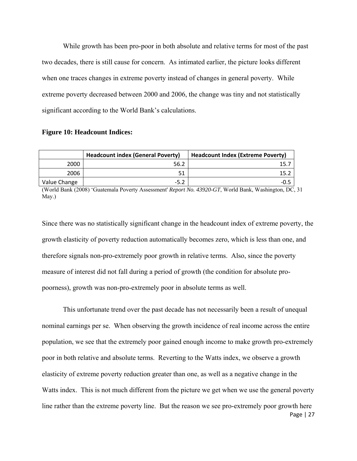While growth has been pro-poor in both absolute and relative terms for most of the past two decades, there is still cause for concern. As intimated earlier, the picture looks different when one traces changes in extreme poverty instead of changes in general poverty. While extreme poverty decreased between 2000 and 2006, the change was tiny and not statistically significant according to the World Bank's calculations.

#### **Figure 10: Headcount Indices:**

|              | <b>Headcount index (General Poverty)</b> | <b>Headcount Index (Extreme Poverty)</b> |
|--------------|------------------------------------------|------------------------------------------|
| 2000         | 56.2                                     |                                          |
| 2006         | 51                                       | 15.7                                     |
| Value Change | $-5.2$                                   | -0.5                                     |

(World Bank (2008) 'Guatemala Poverty Assessment' *Report No. 43920-GT*, World Bank, Washington, DC, 31 May.)

Since there was no statistically significant change in the headcount index of extreme poverty, the growth elasticity of poverty reduction automatically becomes zero, which is less than one, and therefore signals non-pro-extremely poor growth in relative terms. Also, since the poverty measure of interest did not fall during a period of growth (the condition for absolute propoorness), growth was non-pro-extremely poor in absolute terms as well.

Page | 27 This unfortunate trend over the past decade has not necessarily been a result of unequal nominal earnings per se. When observing the growth incidence of real income across the entire population, we see that the extremely poor gained enough income to make growth pro-extremely poor in both relative and absolute terms. Reverting to the Watts index, we observe a growth elasticity of extreme poverty reduction greater than one, as well as a negative change in the Watts index. This is not much different from the picture we get when we use the general poverty line rather than the extreme poverty line. But the reason we see pro-extremely poor growth here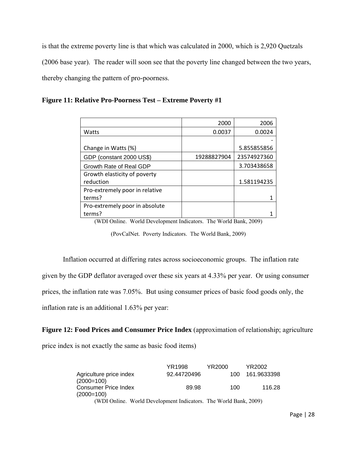is that the extreme poverty line is that which was calculated in 2000, which is 2,920 Quetzals (2006 base year). The reader will soon see that the poverty line changed between the two years, thereby changing the pattern of pro-poorness.

| Figure 11: Relative Pro-Poorness Test - Extreme Poverty #1 |  |
|------------------------------------------------------------|--|
|------------------------------------------------------------|--|

|                                | 2000        | 2006        |
|--------------------------------|-------------|-------------|
| Watts                          | 0.0037      | 0.0024      |
|                                |             |             |
| Change in Watts (%)            |             | 5.855855856 |
| GDP (constant 2000 US\$)       | 19288827904 | 23574927360 |
| Growth Rate of Real GDP        |             | 3.703438658 |
| Growth elasticity of poverty   |             |             |
| reduction                      |             | 1.581194235 |
| Pro-extremely poor in relative |             |             |
| terms?                         |             |             |
| Pro-extremely poor in absolute |             |             |
| terms?                         |             |             |

(WDI Online. World Development Indicators. The World Bank, 2009)

(PovCalNet. Poverty Indicators. The World Bank, 2009)

Inflation occurred at differing rates across socioeconomic groups. The inflation rate

given by the GDP deflator averaged over these six years at 4.33% per year. Or using consumer

prices, the inflation rate was 7.05%. But using consumer prices of basic food goods only, the

inflation rate is an additional 1.63% per year:

#### **Figure 12: Food Prices and Consumer Price Index** (approximation of relationship; agriculture

price index is not exactly the same as basic food items)

|                                                                  | YR1998      | YR2000 | YR2002      |
|------------------------------------------------------------------|-------------|--------|-------------|
| Agriculture price index                                          | 92.44720496 | 100.   | 161.9633398 |
| $(2000=100)$                                                     |             |        |             |
| <b>Consumer Price Index</b>                                      | 89.98       | 100    | 116.28      |
| $(2000=100)$                                                     |             |        |             |
| (WDI Online. World Development Indicators. The World Bank, 2009) |             |        |             |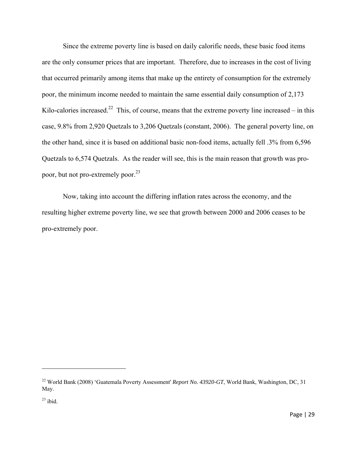Since the extreme poverty line is based on daily calorific needs, these basic food items are the only consumer prices that are important. Therefore, due to increases in the cost of living that occurred primarily among items that make up the entirety of consumption for the extremely poor, the minimum income needed to maintain the same essential daily consumption of 2,173 Kilo-calories increased.<sup>22</sup> This, of course, means that the extreme poverty line increased – in this case, 9.8% from 2,920 Quetzals to 3,206 Quetzals (constant, 2006). The general poverty line, on the other hand, since it is based on additional basic non-food items, actually fell .3% from 6,596 Quetzals to 6,574 Quetzals. As the reader will see, this is the main reason that growth was propoor, but not pro-extremely poor.<sup>23</sup>

Now, taking into account the differing inflation rates across the economy, and the resulting higher extreme poverty line, we see that growth between 2000 and 2006 ceases to be pro-extremely poor.

<sup>22</sup> World Bank (2008) 'Guatemala Poverty Assessment' *Report No. 43920-GT*, World Bank, Washington, DC, 31 May.

 $23$  ibid.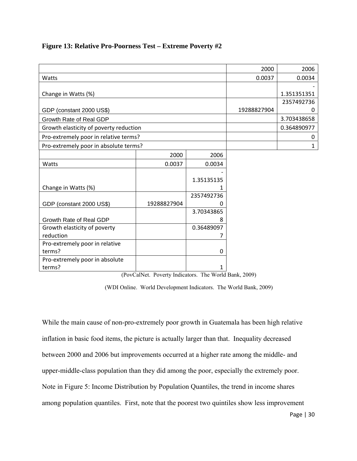## **Figure 13: Relative Pro-Poorness Test – Extreme Poverty #2**

|                                        |             |             | 2000        | 2006         |
|----------------------------------------|-------------|-------------|-------------|--------------|
| Watts                                  |             |             | 0.0037      | 0.0034       |
|                                        |             |             |             |              |
| Change in Watts (%)                    |             | 1.351351351 |             |              |
|                                        |             |             |             | 2357492736   |
| GDP (constant 2000 US\$)               |             |             | 19288827904 | 0            |
| Growth Rate of Real GDP                |             |             |             | 3.703438658  |
| Growth elasticity of poverty reduction |             |             |             | 0.364890977  |
| Pro-extremely poor in relative terms?  |             |             |             | 0            |
| Pro-extremely poor in absolute terms?  |             |             |             | $\mathbf{1}$ |
|                                        | 2000        | 2006        |             |              |
| Watts                                  | 0.0037      | 0.0034      |             |              |
|                                        |             |             |             |              |
|                                        |             | 1.35135135  |             |              |
| Change in Watts (%)                    |             |             |             |              |
|                                        |             | 2357492736  |             |              |
| GDP (constant 2000 US\$)               | 19288827904 | O           |             |              |
|                                        |             | 3.70343865  |             |              |
| Growth Rate of Real GDP                |             | 8           |             |              |
| Growth elasticity of poverty           |             | 0.36489097  |             |              |
| reduction                              |             |             |             |              |
| Pro-extremely poor in relative         |             |             |             |              |
| terms?                                 |             | $\mathbf 0$ |             |              |
| Pro-extremely poor in absolute         |             |             |             |              |
| terms?                                 |             | 1           |             |              |

(PovCalNet. Poverty Indicators. The World Bank, 2009)

(WDI Online. World Development Indicators. The World Bank, 2009)

While the main cause of non-pro-extremely poor growth in Guatemala has been high relative inflation in basic food items, the picture is actually larger than that. Inequality decreased between 2000 and 2006 but improvements occurred at a higher rate among the middle- and upper-middle-class population than they did among the poor, especially the extremely poor. Note in Figure 5: Income Distribution by Population Quantiles, the trend in income shares among population quantiles. First, note that the poorest two quintiles show less improvement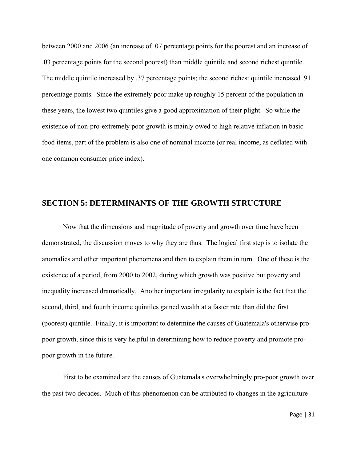between 2000 and 2006 (an increase of .07 percentage points for the poorest and an increase of .03 percentage points for the second poorest) than middle quintile and second richest quintile. The middle quintile increased by .37 percentage points; the second richest quintile increased .91 percentage points. Since the extremely poor make up roughly 15 percent of the population in these years, the lowest two quintiles give a good approximation of their plight. So while the existence of non-pro-extremely poor growth is mainly owed to high relative inflation in basic food items, part of the problem is also one of nominal income (or real income, as deflated with one common consumer price index).

# **SECTION 5: DETERMINANTS OF THE GROWTH STRUCTURE**

Now that the dimensions and magnitude of poverty and growth over time have been demonstrated, the discussion moves to why they are thus. The logical first step is to isolate the anomalies and other important phenomena and then to explain them in turn. One of these is the existence of a period, from 2000 to 2002, during which growth was positive but poverty and inequality increased dramatically. Another important irregularity to explain is the fact that the second, third, and fourth income quintiles gained wealth at a faster rate than did the first (poorest) quintile. Finally, it is important to determine the causes of Guatemala's otherwise propoor growth, since this is very helpful in determining how to reduce poverty and promote propoor growth in the future.

First to be examined are the causes of Guatemala's overwhelmingly pro-poor growth over the past two decades. Much of this phenomenon can be attributed to changes in the agriculture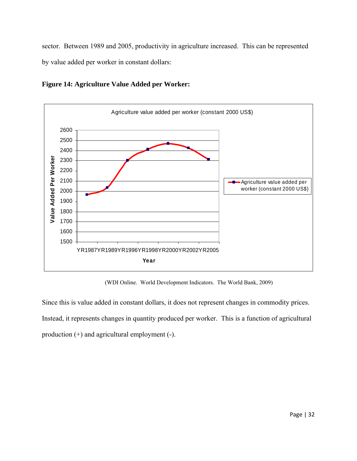sector. Between 1989 and 2005, productivity in agriculture increased. This can be represented by value added per worker in constant dollars:



**Figure 14: Agriculture Value Added per Worker:** 

(WDI Online. World Development Indicators. The World Bank, 2009)

Since this is value added in constant dollars, it does not represent changes in commodity prices. Instead, it represents changes in quantity produced per worker. This is a function of agricultural production (+) and agricultural employment (-).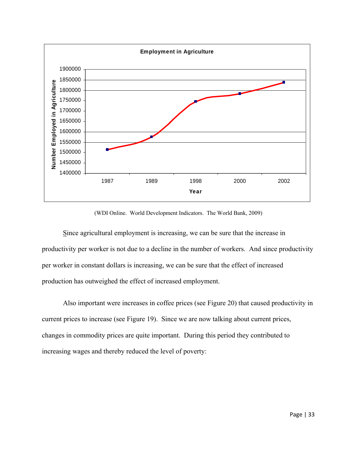

(WDI Online. World Development Indicators. The World Bank, 2009)

Since agricultural employment is increasing, we can be sure that the increase in productivity per worker is not due to a decline in the number of workers. And since productivity per worker in constant dollars is increasing, we can be sure that the effect of increased production has outweighed the effect of increased employment.

 Also important were increases in coffee prices (see Figure 20) that caused productivity in current prices to increase (see Figure 19). Since we are now talking about current prices, changes in commodity prices are quite important. During this period they contributed to increasing wages and thereby reduced the level of poverty: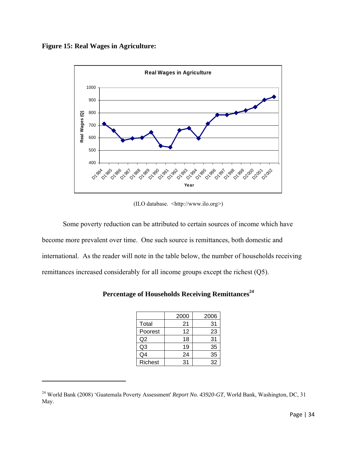



(ILO database. <http://www.ilo.org>)

 Some poverty reduction can be attributed to certain sources of income which have become more prevalent over time. One such source is remittances, both domestic and international. As the reader will note in the table below, the number of households receiving remittances increased considerably for all income groups except the richest (Q5).

|                | 2000 | 2006 |
|----------------|------|------|
| Total          | 21   | 31   |
| Poorest        | 12   | 23   |
| Q <sub>2</sub> | 18   | 31   |
| Q <sub>3</sub> | 19   | 35   |
| Q4             | 24   | 35   |
| <b>Richest</b> | 31   | 32   |

|  |  | Percentage of Households Receiving Remittances <sup>24</sup> |
|--|--|--------------------------------------------------------------|
|  |  |                                                              |

<sup>&</sup>lt;sup>24</sup> World Bank (2008) 'Guatemala Poverty Assessment' *Report No. 43920-GT*, World Bank, Washington, DC, 31 May.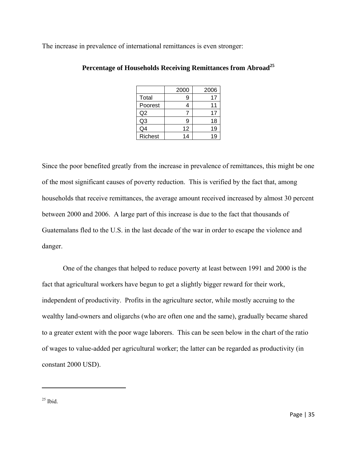The increase in prevalence of international remittances is even stronger:

|                | 2000 | 2006 |
|----------------|------|------|
| Total          | 9    | 17   |
| Poorest        |      | 11   |
| Q <sub>2</sub> |      | 17   |
| Q3             | 9    | 18   |
| Q4             | 12   | 19   |
| Richest        | 14   | 19   |

# Percentage of Households Receiving Remittances from Abroad<sup>25</sup>

Since the poor benefited greatly from the increase in prevalence of remittances, this might be one of the most significant causes of poverty reduction. This is verified by the fact that, among households that receive remittances, the average amount received increased by almost 30 percent between 2000 and 2006. A large part of this increase is due to the fact that thousands of Guatemalans fled to the U.S. in the last decade of the war in order to escape the violence and danger.

 One of the changes that helped to reduce poverty at least between 1991 and 2000 is the fact that agricultural workers have begun to get a slightly bigger reward for their work, independent of productivity. Profits in the agriculture sector, while mostly accruing to the wealthy land-owners and oligarchs (who are often one and the same), gradually became shared to a greater extent with the poor wage laborers. This can be seen below in the chart of the ratio of wages to value-added per agricultural worker; the latter can be regarded as productivity (in constant 2000 USD).

 $25$  Ibid.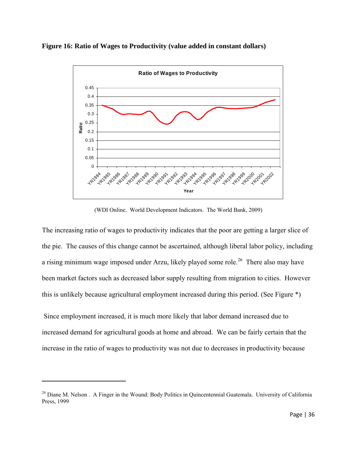**Figure 16: Ratio of Wages to Productivity (value added in constant dollars)** 



(WDI Online. World Development Indicators. The World Bank, 2009)

The increasing ratio of wages to productivity indicates that the poor are getting a larger slice of the pie. The causes of this change cannot be ascertained, although liberal labor policy, including a rising minimum wage imposed under Arzu, likely played some role.<sup>26</sup> There also may have been market factors such as decreased labor supply resulting from migration to cities. However this is unlikely because agricultural employment increased during this period. (See Figure \*)

 Since employment increased, it is much more likely that labor demand increased due to increased demand for agricultural goods at home and abroad. We can be fairly certain that the increase in the ratio of wages to productivity was not due to decreases in productivity because

<sup>&</sup>lt;sup>26</sup> Diane M. Nelson . A Finger in the Wound: Body Politics in Quincentennial Guatemala. University of California Press, 1999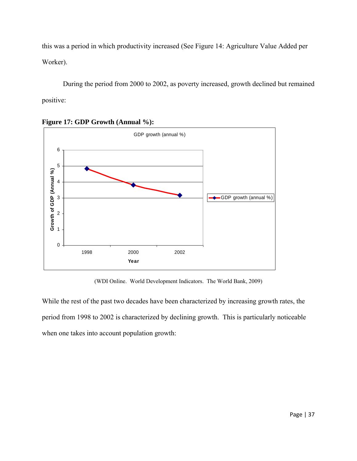this was a period in which productivity increased (See Figure 14: Agriculture Value Added per Worker).

 During the period from 2000 to 2002, as poverty increased, growth declined but remained positive:





(WDI Online. World Development Indicators. The World Bank, 2009)

While the rest of the past two decades have been characterized by increasing growth rates, the period from 1998 to 2002 is characterized by declining growth. This is particularly noticeable when one takes into account population growth: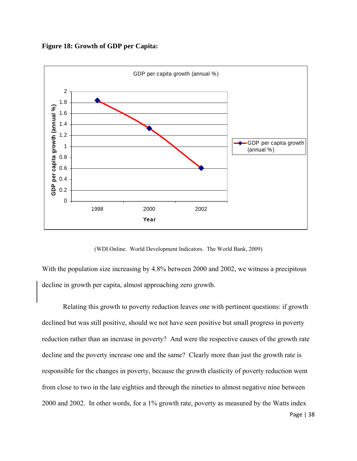**Figure 18: Growth of GDP per Capita:** 



(WDI Online. World Development Indicators. The World Bank, 2009)

With the population size increasing by 4.8% between 2000 and 2002, we witness a precipitous decline in growth per capita, almost approaching zero growth.

 Relating this growth to poverty reduction leaves one with pertinent questions: if growth declined but was still positive, should we not have seen positive but small progress in poverty reduction rather than an increase in poverty? And were the respective causes of the growth rate decline and the poverty increase one and the same? Clearly more than just the growth rate is responsible for the changes in poverty, because the growth elasticity of poverty reduction went from close to two in the late eighties and through the nineties to almost negative nine between 2000 and 2002. In other words, for a 1% growth rate, poverty as measured by the Watts index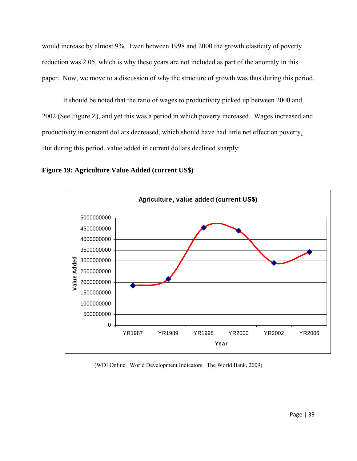would increase by almost 9%. Even between 1998 and 2000 the growth elasticity of poverty reduction was 2.05, which is why these years are not included as part of the anomaly in this paper. Now, we move to a discussion of why the structure of growth was thus during this period.

It should be noted that the ratio of wages to productivity picked up between 2000 and 2002 (See Figure Z), and yet this was a period in which poverty increased. Wages increased and productivity in constant dollars decreased, which should have had little net effect on poverty. But during this period, value added in current dollars declined sharply:





(WDI Online. World Development Indicators. The World Bank, 2009)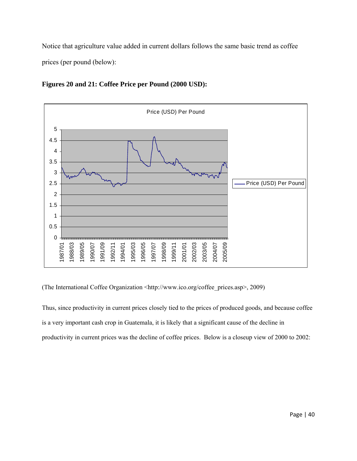Notice that agriculture value added in current dollars follows the same basic trend as coffee prices (per pound (below):



**Figures 20 and 21: Coffee Price per Pound (2000 USD):**

(The International Coffee Organization <http://www.ico.org/coffee\_prices.asp>, 2009)

Thus, since productivity in current prices closely tied to the prices of produced goods, and because coffee is a very important cash crop in Guatemala, it is likely that a significant cause of the decline in productivity in current prices was the decline of coffee prices. Below is a closeup view of 2000 to 2002: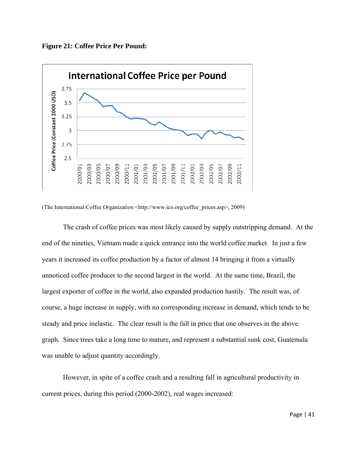



(The International Coffee Organization <http://www.ico.org/coffee\_prices.asp>, 2009)

The crash of coffee prices was most likely caused by supply outstripping demand. At the end of the nineties, Vietnam made a quick entrance into the world coffee market. In just a few years it increased its coffee production by a factor of almost 14 bringing it from a virtually unnoticed coffee producer to the second largest in the world. At the same time, Brazil, the largest exporter of coffee in the world, also expanded production hastily. The result was, of course, a huge increase in supply, with no corresponding increase in demand, which tends to be steady and price inelastic. The clear result is the fall in price that one observes in the above graph. Since trees take a long time to mature, and represent a substantial sunk cost, Guatemala was unable to adjust quantity accordingly.

However, in spite of a coffee crash and a resulting fall in agricultural productivity in current prices, during this period (2000-2002), real wages increased: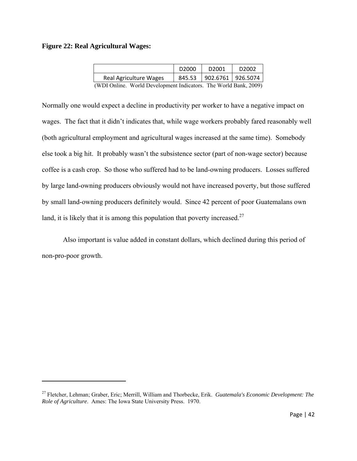#### **Figure 22: Real Agricultural Wages:**

|                                                                  | D <sub>2000</sub> | D <sub>2001</sub>        | D <sub>2002</sub> |
|------------------------------------------------------------------|-------------------|--------------------------|-------------------|
| <b>Real Agriculture Wages</b>                                    |                   | 845.53 902.6761 926.5074 |                   |
| (WDI Online. World Development Indicators. The World Bank, 2009) |                   |                          |                   |

Normally one would expect a decline in productivity per worker to have a negative impact on wages. The fact that it didn't indicates that, while wage workers probably fared reasonably well (both agricultural employment and agricultural wages increased at the same time). Somebody else took a big hit. It probably wasn't the subsistence sector (part of non-wage sector) because coffee is a cash crop. So those who suffered had to be land-owning producers. Losses suffered by large land-owning producers obviously would not have increased poverty, but those suffered by small land-owning producers definitely would. Since 42 percent of poor Guatemalans own land, it is likely that it is among this population that poverty increased.<sup>27</sup>

 Also important is value added in constant dollars, which declined during this period of non-pro-poor growth.

<sup>27</sup> Fletcher, Lehman; Graber, Eric; Merrill, William and Thorbecke, Erik. *Guatemala's Economic Development: The Role of Agriculture*. Ames: The Iowa State University Press. 1970.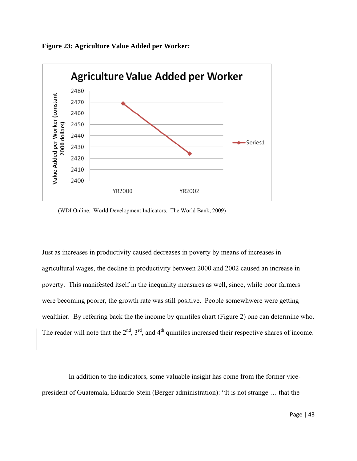



(WDI Online. World Development Indicators. The World Bank, 2009)

Just as increases in productivity caused decreases in poverty by means of increases in agricultural wages, the decline in productivity between 2000 and 2002 caused an increase in poverty. This manifested itself in the inequality measures as well, since, while poor farmers were becoming poorer, the growth rate was still positive. People somewhwere were getting wealthier. By referring back the the income by quintiles chart (Figure 2) one can determine who. The reader will note that the  $2<sup>nd</sup>$ ,  $3<sup>rd</sup>$ , and  $4<sup>th</sup>$  quintiles increased their respective shares of income.

 In addition to the indicators, some valuable insight has come from the former vicepresident of Guatemala, Eduardo Stein (Berger administration): "It is not strange … that the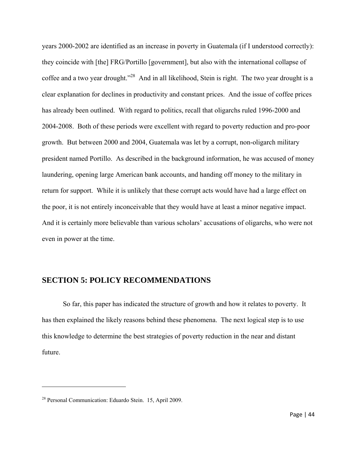years 2000-2002 are identified as an increase in poverty in Guatemala (if I understood correctly): they coincide with [the] FRG/Portillo [government], but also with the international collapse of coffee and a two year drought."28 And in all likelihood, Stein is right. The two year drought is a clear explanation for declines in productivity and constant prices. And the issue of coffee prices has already been outlined. With regard to politics, recall that oligarchs ruled 1996-2000 and 2004-2008. Both of these periods were excellent with regard to poverty reduction and pro-poor growth. But between 2000 and 2004, Guatemala was let by a corrupt, non-oligarch military president named Portillo. As described in the background information, he was accused of money laundering, opening large American bank accounts, and handing off money to the military in return for support. While it is unlikely that these corrupt acts would have had a large effect on the poor, it is not entirely inconceivable that they would have at least a minor negative impact. And it is certainly more believable than various scholars' accusations of oligarchs, who were not even in power at the time.

# **SECTION 5: POLICY RECOMMENDATIONS**

So far, this paper has indicated the structure of growth and how it relates to poverty. It has then explained the likely reasons behind these phenomena. The next logical step is to use this knowledge to determine the best strategies of poverty reduction in the near and distant future.

<sup>28</sup> Personal Communication: Eduardo Stein. 15, April 2009.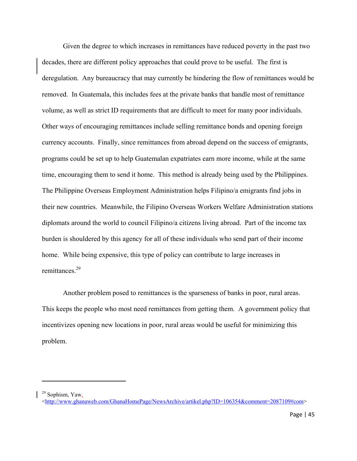Given the degree to which increases in remittances have reduced poverty in the past two decades, there are different policy approaches that could prove to be useful. The first is deregulation. Any bureaucracy that may currently be hindering the flow of remittances would be removed. In Guatemala, this includes fees at the private banks that handle most of remittance volume, as well as strict ID requirements that are difficult to meet for many poor individuals. Other ways of encouraging remittances include selling remittance bonds and opening foreign currency accounts. Finally, since remittances from abroad depend on the success of emigrants, programs could be set up to help Guatemalan expatriates earn more income, while at the same time, encouraging them to send it home. This method is already being used by the Philippines. The Philippine Overseas Employment Administration helps Filipino/a emigrants find jobs in their new countries. Meanwhile, the Filipino Overseas Workers Welfare Administration stations diplomats around the world to council Filipino/a citizens living abroad. Part of the income tax burden is shouldered by this agency for all of these individuals who send part of their income home. While being expensive, this type of policy can contribute to large increases in remittances<sup>29</sup>

 Another problem posed to remittances is the sparseness of banks in poor, rural areas. This keeps the people who most need remittances from getting them. A government policy that incentivizes opening new locations in poor, rural areas would be useful for minimizing this problem.

<sup>&</sup>lt;sup>29</sup> Sophism, Yaw.

<sup>&</sup>lt;http://www.ghanaweb.com/GhanaHomePage/NewsArchive/artikel.php?ID=106354&comment=2087109#com>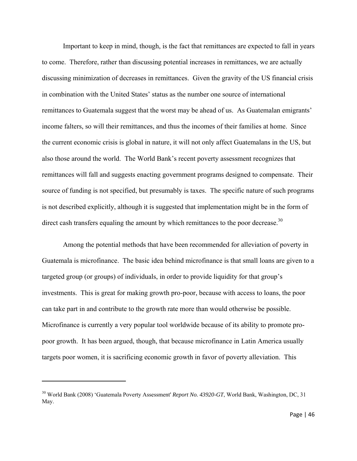Important to keep in mind, though, is the fact that remittances are expected to fall in years to come. Therefore, rather than discussing potential increases in remittances, we are actually discussing minimization of decreases in remittances. Given the gravity of the US financial crisis in combination with the United States' status as the number one source of international remittances to Guatemala suggest that the worst may be ahead of us. As Guatemalan emigrants' income falters, so will their remittances, and thus the incomes of their families at home. Since the current economic crisis is global in nature, it will not only affect Guatemalans in the US, but also those around the world. The World Bank's recent poverty assessment recognizes that remittances will fall and suggests enacting government programs designed to compensate. Their source of funding is not specified, but presumably is taxes. The specific nature of such programs is not described explicitly, although it is suggested that implementation might be in the form of direct cash transfers equaling the amount by which remittances to the poor decrease.<sup>30</sup>

Among the potential methods that have been recommended for alleviation of poverty in Guatemala is microfinance. The basic idea behind microfinance is that small loans are given to a targeted group (or groups) of individuals, in order to provide liquidity for that group's investments. This is great for making growth pro-poor, because with access to loans, the poor can take part in and contribute to the growth rate more than would otherwise be possible. Microfinance is currently a very popular tool worldwide because of its ability to promote propoor growth. It has been argued, though, that because microfinance in Latin America usually targets poor women, it is sacrificing economic growth in favor of poverty alleviation. This

<sup>30</sup> World Bank (2008) 'Guatemala Poverty Assessment' *Report No. 43920-GT*, World Bank, Washington, DC, 31 May.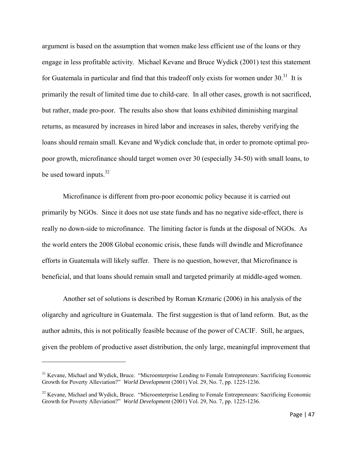argument is based on the assumption that women make less efficient use of the loans or they engage in less profitable activity. Michael Kevane and Bruce Wydick (2001) test this statement for Guatemala in particular and find that this tradeoff only exists for women under  $30^{31}$  It is primarily the result of limited time due to child-care. In all other cases, growth is not sacrificed, but rather, made pro-poor. The results also show that loans exhibited diminishing marginal returns, as measured by increases in hired labor and increases in sales, thereby verifying the loans should remain small. Kevane and Wydick conclude that, in order to promote optimal propoor growth, microfinance should target women over 30 (especially 34-50) with small loans, to be used toward inputs. $32$ 

Microfinance is different from pro-poor economic policy because it is carried out primarily by NGOs. Since it does not use state funds and has no negative side-effect, there is really no down-side to microfinance. The limiting factor is funds at the disposal of NGOs. As the world enters the 2008 Global economic crisis, these funds will dwindle and Microfinance efforts in Guatemala will likely suffer. There is no question, however, that Microfinance is beneficial, and that loans should remain small and targeted primarily at middle-aged women.

 Another set of solutions is described by Roman Krznaric (2006) in his analysis of the oligarchy and agriculture in Guatemala. The first suggestion is that of land reform. But, as the author admits, this is not politically feasible because of the power of CACIF. Still, he argues, given the problem of productive asset distribution, the only large, meaningful improvement that

<sup>&</sup>lt;sup>31</sup> Kevane, Michael and Wydick, Bruce. "Microenterprise Lending to Female Entrepreneurs: Sacrificing Economic Growth for Poverty Alleviation?" *World Development* (2001) Vol. 29, No. 7, pp. 1225-1236.

<sup>&</sup>lt;sup>32</sup> Kevane, Michael and Wydick, Bruce. "Microenterprise Lending to Female Entrepreneurs: Sacrificing Economic Growth for Poverty Alleviation?" *World Development* (2001) Vol. 29, No. 7, pp. 1225-1236.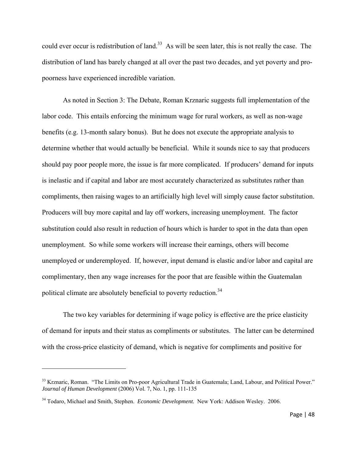could ever occur is redistribution of land.<sup>33</sup> As will be seen later, this is not really the case. The distribution of land has barely changed at all over the past two decades, and yet poverty and propoorness have experienced incredible variation.

 As noted in Section 3: The Debate, Roman Krznaric suggests full implementation of the labor code. This entails enforcing the minimum wage for rural workers, as well as non-wage benefits (e.g. 13-month salary bonus). But he does not execute the appropriate analysis to determine whether that would actually be beneficial. While it sounds nice to say that producers should pay poor people more, the issue is far more complicated. If producers' demand for inputs is inelastic and if capital and labor are most accurately characterized as substitutes rather than compliments, then raising wages to an artificially high level will simply cause factor substitution. Producers will buy more capital and lay off workers, increasing unemployment. The factor substitution could also result in reduction of hours which is harder to spot in the data than open unemployment. So while some workers will increase their earnings, others will become unemployed or underemployed. If, however, input demand is elastic and/or labor and capital are complimentary, then any wage increases for the poor that are feasible within the Guatemalan political climate are absolutely beneficial to poverty reduction.<sup>34</sup>

 The two key variables for determining if wage policy is effective are the price elasticity of demand for inputs and their status as compliments or substitutes. The latter can be determined with the cross-price elasticity of demand, which is negative for compliments and positive for

<sup>&</sup>lt;sup>33</sup> Krznaric, Roman. "The Limits on Pro-poor Agricultural Trade in Guatemala; Land, Labour, and Political Power." *Journal of Human Development* (2006) Vol. 7, No. 1, pp. 111-135

<sup>34</sup> Todaro, Michael and Smith, Stephen. *Economic Development.* New York: Addison Wesley. 2006.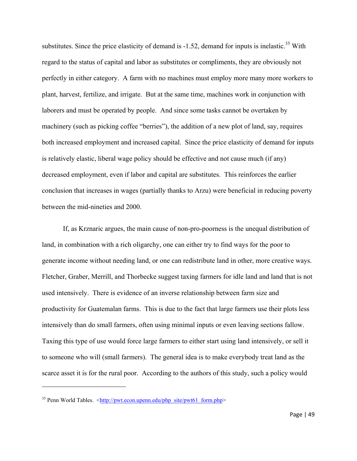substitutes. Since the price elasticity of demand is  $-1.52$ , demand for inputs is inelastic.<sup>35</sup> With regard to the status of capital and labor as substitutes or compliments, they are obviously not perfectly in either category. A farm with no machines must employ more many more workers to plant, harvest, fertilize, and irrigate. But at the same time, machines work in conjunction with laborers and must be operated by people. And since some tasks cannot be overtaken by machinery (such as picking coffee "berries"), the addition of a new plot of land, say, requires both increased employment and increased capital. Since the price elasticity of demand for inputs is relatively elastic, liberal wage policy should be effective and not cause much (if any) decreased employment, even if labor and capital are substitutes. This reinforces the earlier conclusion that increases in wages (partially thanks to Arzu) were beneficial in reducing poverty between the mid-nineties and 2000.

If, as Krznaric argues, the main cause of non-pro-poorness is the unequal distribution of land, in combination with a rich oligarchy, one can either try to find ways for the poor to generate income without needing land, or one can redistribute land in other, more creative ways. Fletcher, Graber, Merrill, and Thorbecke suggest taxing farmers for idle land and land that is not used intensively. There is evidence of an inverse relationship between farm size and productivity for Guatemalan farms. This is due to the fact that large farmers use their plots less intensively than do small farmers, often using minimal inputs or even leaving sections fallow. Taxing this type of use would force large farmers to either start using land intensively, or sell it to someone who will (small farmers). The general idea is to make everybody treat land as the scarce asset it is for the rural poor. According to the authors of this study, such a policy would

<sup>&</sup>lt;sup>35</sup> Penn World Tables.  $\langle \frac{http://put.econ.upenn.edu/php\_site/pwt61-form.php>}{http://put.econ.upenn.edu/php\_site/pwt61-form.php>}$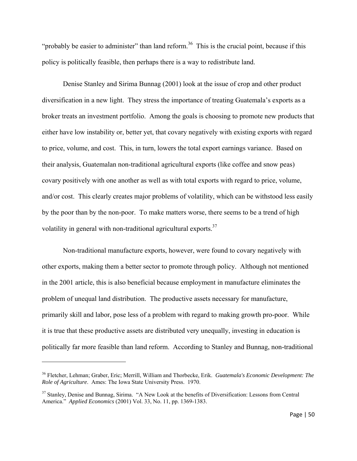"probably be easier to administer" than land reform.<sup>36</sup> This is the crucial point, because if this policy is politically feasible, then perhaps there is a way to redistribute land.

Denise Stanley and Sirima Bunnag (2001) look at the issue of crop and other product diversification in a new light. They stress the importance of treating Guatemala's exports as a broker treats an investment portfolio. Among the goals is choosing to promote new products that either have low instability or, better yet, that covary negatively with existing exports with regard to price, volume, and cost. This, in turn, lowers the total export earnings variance. Based on their analysis, Guatemalan non-traditional agricultural exports (like coffee and snow peas) covary positively with one another as well as with total exports with regard to price, volume, and/or cost. This clearly creates major problems of volatility, which can be withstood less easily by the poor than by the non-poor. To make matters worse, there seems to be a trend of high volatility in general with non-traditional agricultural exports.<sup>37</sup>

Non-traditional manufacture exports, however, were found to covary negatively with other exports, making them a better sector to promote through policy. Although not mentioned in the 2001 article, this is also beneficial because employment in manufacture eliminates the problem of unequal land distribution. The productive assets necessary for manufacture, primarily skill and labor, pose less of a problem with regard to making growth pro-poor. While it is true that these productive assets are distributed very unequally, investing in education is politically far more feasible than land reform. According to Stanley and Bunnag, non-traditional

<sup>36</sup> Fletcher, Lehman; Graber, Eric; Merrill, William and Thorbecke, Erik. *Guatemala's Economic Development: The Role of Agriculture*. Ames: The Iowa State University Press. 1970.

<sup>&</sup>lt;sup>37</sup> Stanley, Denise and Bunnag, Sirima. "A New Look at the benefits of Diversification: Lessons from Central America." *Applied Economics* (2001) Vol. 33, No. 11, pp. 1369-1383.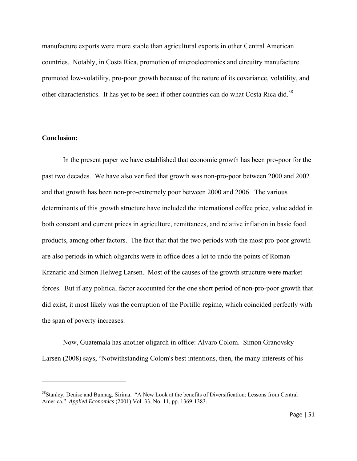manufacture exports were more stable than agricultural exports in other Central American countries. Notably, in Costa Rica, promotion of microelectronics and circuitry manufacture promoted low-volatility, pro-poor growth because of the nature of its covariance, volatility, and other characteristics. It has yet to be seen if other countries can do what Costa Rica did.<sup>38</sup>

# **Conclusion:**

In the present paper we have established that economic growth has been pro-poor for the past two decades. We have also verified that growth was non-pro-poor between 2000 and 2002 and that growth has been non-pro-extremely poor between 2000 and 2006. The various determinants of this growth structure have included the international coffee price, value added in both constant and current prices in agriculture, remittances, and relative inflation in basic food products, among other factors. The fact that that the two periods with the most pro-poor growth are also periods in which oligarchs were in office does a lot to undo the points of Roman Krznaric and Simon Helweg Larsen. Most of the causes of the growth structure were market forces. But if any political factor accounted for the one short period of non-pro-poor growth that did exist, it most likely was the corruption of the Portillo regime, which coincided perfectly with the span of poverty increases.

Now, Guatemala has another oligarch in office: Alvaro Colom. Simon Granovsky-Larsen (2008) says, "Notwithstanding Colom's best intentions, then, the many interests of his

<sup>&</sup>lt;sup>38</sup>Stanley, Denise and Bunnag, Sirima. "A New Look at the benefits of Diversification: Lessons from Central America." *Applied Economics* (2001) Vol. 33, No. 11, pp. 1369-1383.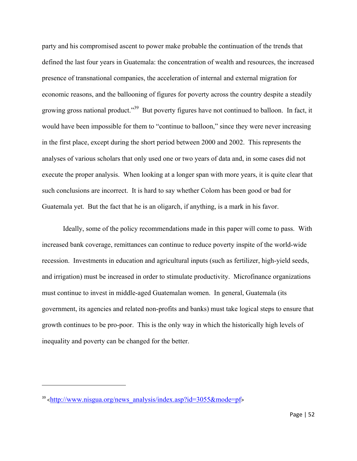party and his compromised ascent to power make probable the continuation of the trends that defined the last four years in Guatemala: the concentration of wealth and resources, the increased presence of transnational companies, the acceleration of internal and external migration for economic reasons, and the ballooning of figures for poverty across the country despite a steadily growing gross national product."39 But poverty figures have not continued to balloon. In fact, it would have been impossible for them to "continue to balloon," since they were never increasing in the first place, except during the short period between 2000 and 2002. This represents the analyses of various scholars that only used one or two years of data and, in some cases did not execute the proper analysis. When looking at a longer span with more years, it is quite clear that such conclusions are incorrect. It is hard to say whether Colom has been good or bad for Guatemala yet. But the fact that he is an oligarch, if anything, is a mark in his favor.

Ideally, some of the policy recommendations made in this paper will come to pass. With increased bank coverage, remittances can continue to reduce poverty inspite of the world-wide recession. Investments in education and agricultural inputs (such as fertilizer, high-yield seeds, and irrigation) must be increased in order to stimulate productivity. Microfinance organizations must continue to invest in middle-aged Guatemalan women. In general, Guatemala (its government, its agencies and related non-profits and banks) must take logical steps to ensure that growth continues to be pro-poor. This is the only way in which the historically high levels of inequality and poverty can be changed for the better.

 $39$  <http://www.nisgua.org/news\_analysis/index.asp?id=3055&mode=pf>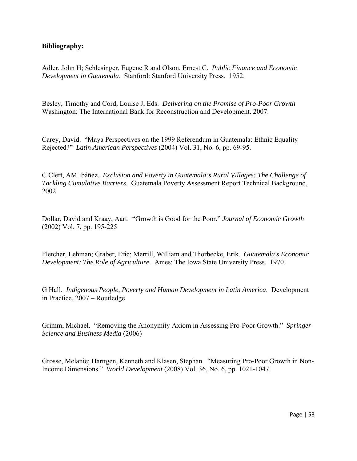# **Bibliography:**

Adler, John H; Schlesinger, Eugene R and Olson, Ernest C*. Public Finance and Economic Development in Guatemala*. Stanford: Stanford University Press. 1952.

Besley, Timothy and Cord, Louise J, Eds. *Delivering on the Promise of Pro-Poor Growth* Washington: The International Bank for Reconstruction and Development. 2007.

Carey, David. "Maya Perspectives on the 1999 Referendum in Guatemala: Ethnic Equality Rejected?" *Latin American Perspectives* (2004) Vol. 31, No. 6, pp. 69-95.

C Clert, AM Ibáñez. *Exclusion and Poverty in Guatemala's Rural Villages: The Challenge of Tackling Cumulative Barriers*. Guatemala Poverty Assessment Report Technical Background, 2002

Dollar, David and Kraay, Aart. "Growth is Good for the Poor." *Journal of Economic Growth* (2002) Vol. 7, pp. 195-225

Fletcher, Lehman; Graber, Eric; Merrill, William and Thorbecke, Erik. *Guatemala's Economic Development: The Role of Agriculture*. Ames: The Iowa State University Press. 1970.

G Hall. *Indigenous People, Poverty and Human Development in Latin America*. Development in Practice, 2007 – Routledge

Grimm, Michael. "Removing the Anonymity Axiom in Assessing Pro-Poor Growth." *Springer Science and Business Media* (2006)

Grosse, Melanie; Harttgen, Kenneth and Klasen, Stephan. "Measuring Pro-Poor Growth in Non-Income Dimensions." *World Development* (2008) Vol. 36, No. 6, pp. 1021-1047.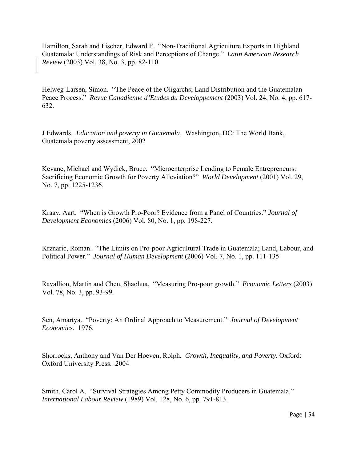Hamilton, Sarah and Fischer, Edward F. "Non-Traditional Agriculture Exports in Highland Guatemala: Understandings of Risk and Perceptions of Change." *Latin American Research Review* (2003) Vol. 38, No. 3, pp. 82-110.

Helweg-Larsen, Simon. "The Peace of the Oligarchs; Land Distribution and the Guatemalan Peace Process." *Revue Canadienne d'Etudes du Developpement* (2003) Vol. 24, No. 4, pp. 617- 632.

J Edwards. *Education and poverty in Guatemala*. Washington, DC: The World Bank, Guatemala poverty assessment, 2002

Kevane, Michael and Wydick, Bruce. "Microenterprise Lending to Female Entrepreneurs: Sacrificing Economic Growth for Poverty Alleviation?" *World Development* (2001) Vol. 29, No. 7, pp. 1225-1236.

Kraay, Aart. "When is Growth Pro-Poor? Evidence from a Panel of Countries." *Journal of Development Economics* (2006) Vol. 80, No. 1, pp. 198-227.

Krznaric, Roman. "The Limits on Pro-poor Agricultural Trade in Guatemala; Land, Labour, and Political Power." *Journal of Human Development* (2006) Vol. 7, No. 1, pp. 111-135

Ravallion, Martin and Chen, Shaohua. "Measuring Pro-poor growth." *Economic Letters* (2003) Vol. 78, No. 3, pp. 93-99.

Sen, Amartya. "Poverty: An Ordinal Approach to Measurement." *Journal of Development Economics.* 1976.

Shorrocks, Anthony and Van Der Hoeven, Rolph*. Growth, Inequality, and Poverty.* Oxford: Oxford University Press. 2004

Smith, Carol A. "Survival Strategies Among Petty Commodity Producers in Guatemala." *International Labour Review* (1989) Vol. 128, No. 6, pp. 791-813.